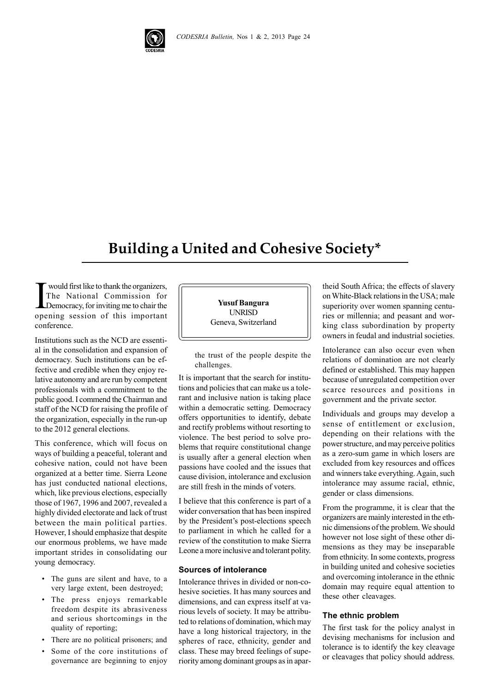

## **Building a United and Cohesive Society\***

The National Commission for<br>The National Commission for<br>Democracy, for inviting me to chair the<br>opening session of this important would first like to thank the organizers, The National Commission for Democracy, for inviting me to chair the conference.

Institutions such as the NCD are essential in the consolidation and expansion of democracy. Such institutions can be effective and credible when they enjoy relative autonomy and are run by competent professionals with a commitment to the public good. I commend the Chairman and staff of the NCD for raising the profile of the organization, especially in the run-up to the 2012 general elections.

This conference, which will focus on ways of building a peaceful, tolerant and cohesive nation, could not have been organized at a better time. Sierra Leone has just conducted national elections, which, like previous elections, especially those of 1967, 1996 and 2007, revealed a highly divided electorate and lack of trust between the main political parties. However, I should emphasize that despite our enormous problems, we have made important strides in consolidating our young democracy.

- The guns are silent and have, to a very large extent, been destroyed;
- The press enjoys remarkable freedom despite its abrasiveness and serious shortcomings in the quality of reporting;
- There are no political prisoners; and
- Some of the core institutions of governance are beginning to enjoy

**Yusuf Bangura** UNRISD Geneva, Switzerland

the trust of the people despite the challenges.

It is important that the search for institutions and policies that can make us a tolerant and inclusive nation is taking place within a democratic setting. Democracy offers opportunities to identify, debate and rectify problems without resorting to violence. The best period to solve problems that require constitutional change is usually after a general election when passions have cooled and the issues that cause division, intolerance and exclusion are still fresh in the minds of voters.

I believe that this conference is part of a wider conversation that has been inspired by the President's post-elections speech to parliament in which he called for a review of the constitution to make Sierra Leone a more inclusive and tolerant polity.

## **Sources of intolerance**

Intolerance thrives in divided or non-cohesive societies. It has many sources and dimensions, and can express itself at various levels of society. It may be attributed to relations of domination, which may have a long historical trajectory, in the spheres of race, ethnicity, gender and class. These may breed feelings of superiority among dominant groups as in apar-

theid South Africa; the effects of slavery on White-Black relations in the USA; male superiority over women spanning centuries or millennia; and peasant and working class subordination by property owners in feudal and industrial societies.

Intolerance can also occur even when relations of domination are not clearly defined or established. This may happen because of unregulated competition over scarce resources and positions in government and the private sector.

Individuals and groups may develop a sense of entitlement or exclusion, depending on their relations with the power structure, and may perceive politics as a zero-sum game in which losers are excluded from key resources and offices and winners take everything. Again, such intolerance may assume racial, ethnic, gender or class dimensions.

From the programme, it is clear that the organizers are mainly interested in the ethnic dimensions of the problem. We should however not lose sight of these other dimensions as they may be inseparable from ethnicity. In some contexts, progress in building united and cohesive societies and overcoming intolerance in the ethnic domain may require equal attention to these other cleavages.

## **The ethnic problem**

The first task for the policy analyst in devising mechanisms for inclusion and tolerance is to identify the key cleavage or cleavages that policy should address.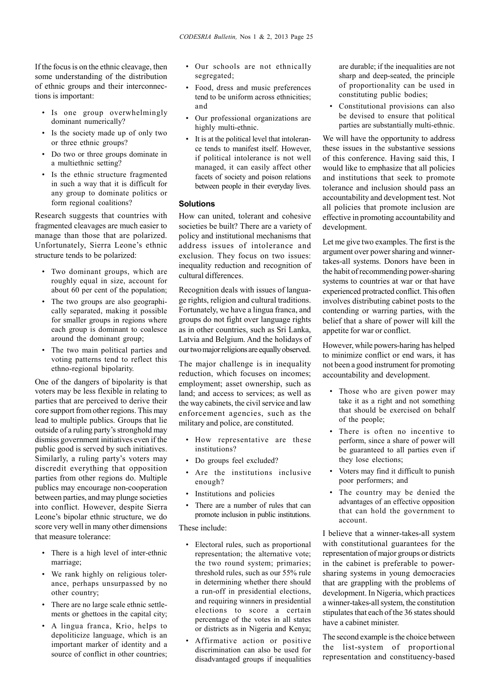If the focus is on the ethnic cleavage, then some understanding of the distribution of ethnic groups and their interconnections is important:

- Is one group overwhelmingly dominant numerically?
- Is the society made up of only two or three ethnic groups?
- Do two or three groups dominate in a multiethnic setting?
- Is the ethnic structure fragmented in such a way that it is difficult for any group to dominate politics or form regional coalitions?

Research suggests that countries with fragmented cleavages are much easier to manage than those that are polarized. Unfortunately, Sierra Leone's ethnic structure tends to be polarized:

- Two dominant groups, which are roughly equal in size, account for about 60 per cent of the population;
- The two groups are also geographically separated, making it possible for smaller groups in regions where each group is dominant to coalesce around the dominant group;
- The two main political parties and voting patterns tend to reflect this ethno-regional bipolarity.

One of the dangers of bipolarity is that voters may be less flexible in relating to parties that are perceived to derive their core support from other regions. This may lead to multiple publics. Groups that lie outside of a ruling party's stronghold may dismiss government initiatives even if the public good is served by such initiatives. Similarly, a ruling party's voters may discredit everything that opposition parties from other regions do. Multiple publics may encourage non-cooperation between parties, and may plunge societies into conflict. However, despite Sierra Leone's bipolar ethnic structure, we do score very well in many other dimensions that measure tolerance:

- There is a high level of inter-ethnic marriage;
- We rank highly on religious tolerance, perhaps unsurpassed by no other country;
- There are no large scale ethnic settlements or ghettoes in the capital city;
- A lingua franca, Krio, helps to depoliticize language, which is an important marker of identity and a source of conflict in other countries;
- Our schools are not ethnically segregated;
- Food, dress and music preferences tend to be uniform across ethnicities; and
- Our professional organizations are highly multi-ethnic.
- It is at the political level that intolerance tends to manifest itself. However, if political intolerance is not well managed, it can easily affect other facets of society and poison relations between people in their everyday lives.

## **Solutions**

How can united, tolerant and cohesive societies be built? There are a variety of policy and institutional mechanisms that address issues of intolerance and exclusion. They focus on two issues: inequality reduction and recognition of cultural differences.

Recognition deals with issues of language rights, religion and cultural traditions. Fortunately, we have a lingua franca, and groups do not fight over language rights as in other countries, such as Sri Lanka, Latvia and Belgium. And the holidays of our two major religions are equally observed.

The major challenge is in inequality reduction, which focuses on incomes; employment; asset ownership, such as land; and access to services; as well as the way cabinets, the civil service and law enforcement agencies, such as the military and police, are constituted.

- How representative are these institutions?
- Do groups feel excluded?
- Are the institutions inclusive enough?
- Institutions and policies
- There are a number of rules that can promote inclusion in public institutions.

These include:

- Electoral rules, such as proportional representation; the alternative vote; the two round system; primaries; threshold rules, such as our 55% rule in determining whether there should a run-off in presidential elections, and requiring winners in presidential elections to score a certain percentage of the votes in all states or districts as in Nigeria and Kenya;
- Affirmative action or positive discrimination can also be used for disadvantaged groups if inequalities

are durable; if the inequalities are not sharp and deep-seated, the principle of proportionality can be used in constituting public bodies;

Constitutional provisions can also be devised to ensure that political parties are substantially multi-ethnic.

We will have the opportunity to address these issues in the substantive sessions of this conference. Having said this, I would like to emphasize that all policies and institutions that seek to promote tolerance and inclusion should pass an accountability and development test. Not all policies that promote inclusion are effective in promoting accountability and development.

Let me give two examples. The first is the argument over power sharing and winnertakes-all systems. Donors have been in the habit of recommending power-sharing systems to countries at war or that have experienced protracted conflict. This often involves distributing cabinet posts to the contending or warring parties, with the belief that a share of power will kill the appetite for war or conflict.

However, while powers-haring has helped to minimize conflict or end wars, it has not been a good instrument for promoting accountability and development.

- Those who are given power may take it as a right and not something that should be exercised on behalf of the people;
- There is often no incentive to perform, since a share of power will be guaranteed to all parties even if they lose elections;
- Voters may find it difficult to punish poor performers; and
- The country may be denied the advantages of an effective opposition that can hold the government to account.

I believe that a winner-takes-all system with constitutional guarantees for the representation of major groups or districts in the cabinet is preferable to powersharing systems in young democracies that are grappling with the problems of development. In Nigeria, which practices a winner-takes-all system, the constitution stipulates that each of the 36 states should have a cabinet minister.

The second example is the choice between the list-system of proportional representation and constituency-based